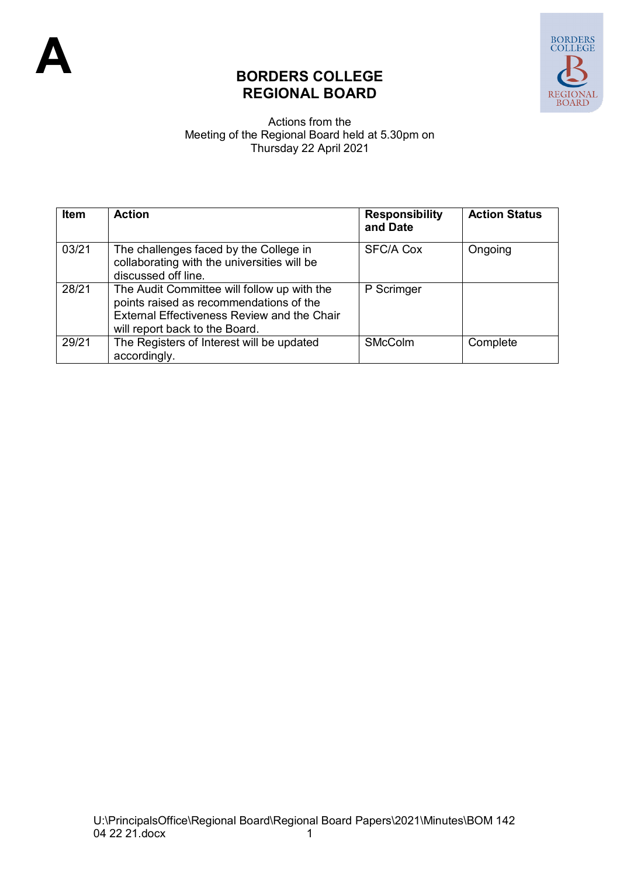

## **BORDERS COLLEGE REGIONAL BOARD**

## Actions from the Meeting of the Regional Board held at 5.30pm on Thursday 22 April 2021

| <b>Item</b> | <b>Action</b>                                                                                                                                                           | <b>Responsibility</b><br>and Date | <b>Action Status</b> |
|-------------|-------------------------------------------------------------------------------------------------------------------------------------------------------------------------|-----------------------------------|----------------------|
| 03/21       | The challenges faced by the College in<br>collaborating with the universities will be<br>discussed off line.                                                            | <b>SFC/A Cox</b>                  | Ongoing              |
| 28/21       | The Audit Committee will follow up with the<br>points raised as recommendations of the<br>External Effectiveness Review and the Chair<br>will report back to the Board. | P Scrimger                        |                      |
| 29/21       | The Registers of Interest will be updated<br>accordingly.                                                                                                               | <b>SMcColm</b>                    | Complete             |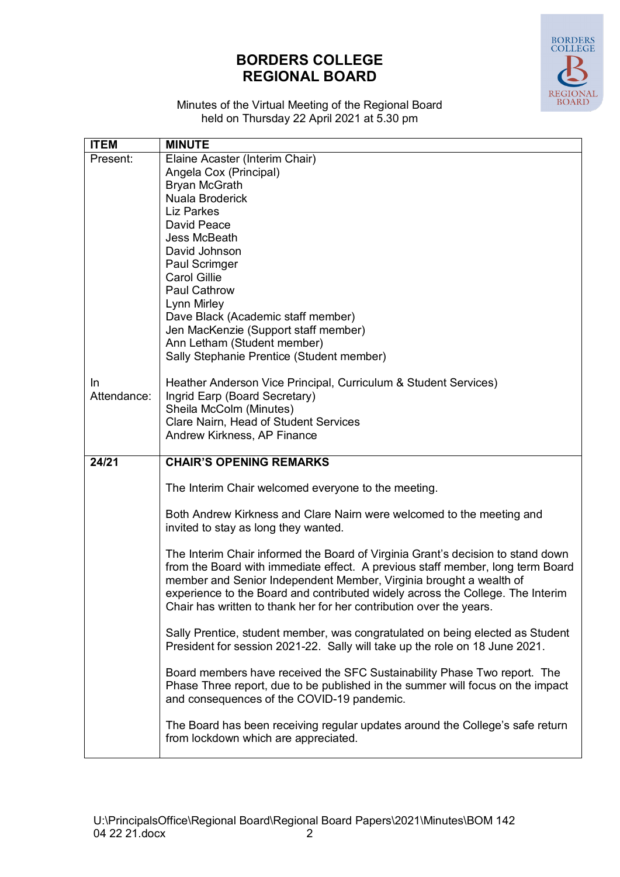## **BORDERS COLLEGE REGIONAL BOARD**



Minutes of the Virtual Meeting of the Regional Board held on Thursday 22 April 2021 at 5.30 pm

| <b>ITEM</b> | <b>MINUTE</b>                                                                                                                                                     |
|-------------|-------------------------------------------------------------------------------------------------------------------------------------------------------------------|
| Present:    | Elaine Acaster (Interim Chair)                                                                                                                                    |
|             | Angela Cox (Principal)                                                                                                                                            |
|             | <b>Bryan McGrath</b>                                                                                                                                              |
|             | Nuala Broderick                                                                                                                                                   |
|             | <b>Liz Parkes</b>                                                                                                                                                 |
|             | <b>David Peace</b>                                                                                                                                                |
|             | <b>Jess McBeath</b>                                                                                                                                               |
|             | David Johnson                                                                                                                                                     |
|             | Paul Scrimger                                                                                                                                                     |
|             | <b>Carol Gillie</b>                                                                                                                                               |
|             | <b>Paul Cathrow</b>                                                                                                                                               |
|             | Lynn Mirley                                                                                                                                                       |
|             | Dave Black (Academic staff member)                                                                                                                                |
|             | Jen MacKenzie (Support staff member)                                                                                                                              |
|             | Ann Letham (Student member)                                                                                                                                       |
|             | Sally Stephanie Prentice (Student member)                                                                                                                         |
| In          |                                                                                                                                                                   |
| Attendance: | Heather Anderson Vice Principal, Curriculum & Student Services)<br>Ingrid Earp (Board Secretary)                                                                  |
|             | Sheila McColm (Minutes)                                                                                                                                           |
|             | Clare Nairn, Head of Student Services                                                                                                                             |
|             | Andrew Kirkness, AP Finance                                                                                                                                       |
|             |                                                                                                                                                                   |
| 24/21       | <b>CHAIR'S OPENING REMARKS</b>                                                                                                                                    |
|             |                                                                                                                                                                   |
|             | The Interim Chair welcomed everyone to the meeting.                                                                                                               |
|             |                                                                                                                                                                   |
|             | Both Andrew Kirkness and Clare Nairn were welcomed to the meeting and                                                                                             |
|             | invited to stay as long they wanted.                                                                                                                              |
|             |                                                                                                                                                                   |
|             | The Interim Chair informed the Board of Virginia Grant's decision to stand down<br>from the Board with immediate effect. A previous staff member, long term Board |
|             | member and Senior Independent Member, Virginia brought a wealth of                                                                                                |
|             | experience to the Board and contributed widely across the College. The Interim                                                                                    |
|             | Chair has written to thank her for her contribution over the years.                                                                                               |
|             |                                                                                                                                                                   |
|             | Sally Prentice, student member, was congratulated on being elected as Student                                                                                     |
|             | President for session 2021-22. Sally will take up the role on 18 June 2021.                                                                                       |
|             |                                                                                                                                                                   |
|             | Board members have received the SFC Sustainability Phase Two report. The                                                                                          |
|             | Phase Three report, due to be published in the summer will focus on the impact                                                                                    |
|             | and consequences of the COVID-19 pandemic.                                                                                                                        |
|             |                                                                                                                                                                   |
|             |                                                                                                                                                                   |
|             | The Board has been receiving regular updates around the College's safe return                                                                                     |
|             | from lockdown which are appreciated.                                                                                                                              |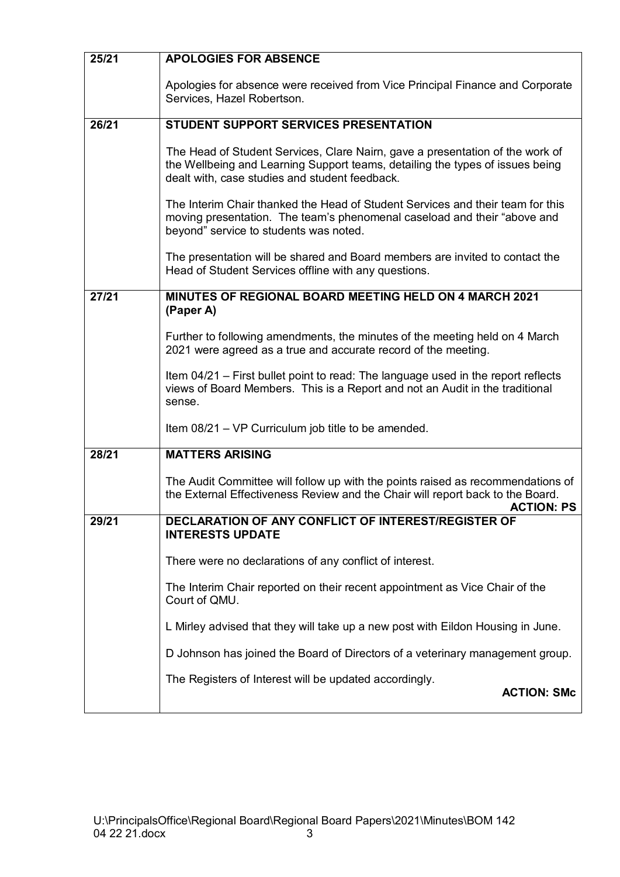| 25/21 | <b>APOLOGIES FOR ABSENCE</b>                                                                                                                                                                                     |  |
|-------|------------------------------------------------------------------------------------------------------------------------------------------------------------------------------------------------------------------|--|
|       | Apologies for absence were received from Vice Principal Finance and Corporate<br>Services, Hazel Robertson.                                                                                                      |  |
| 26/21 | <b>STUDENT SUPPORT SERVICES PRESENTATION</b>                                                                                                                                                                     |  |
|       | The Head of Student Services, Clare Nairn, gave a presentation of the work of<br>the Wellbeing and Learning Support teams, detailing the types of issues being<br>dealt with, case studies and student feedback. |  |
|       | The Interim Chair thanked the Head of Student Services and their team for this<br>moving presentation. The team's phenomenal caseload and their "above and<br>beyond" service to students was noted.             |  |
|       | The presentation will be shared and Board members are invited to contact the<br>Head of Student Services offline with any questions.                                                                             |  |
| 27/21 | <b>MINUTES OF REGIONAL BOARD MEETING HELD ON 4 MARCH 2021</b><br>(Paper A)                                                                                                                                       |  |
|       | Further to following amendments, the minutes of the meeting held on 4 March<br>2021 were agreed as a true and accurate record of the meeting.                                                                    |  |
|       | Item 04/21 – First bullet point to read: The language used in the report reflects<br>views of Board Members. This is a Report and not an Audit in the traditional<br>sense.                                      |  |
|       | Item 08/21 – VP Curriculum job title to be amended.                                                                                                                                                              |  |
| 28/21 | <b>MATTERS ARISING</b>                                                                                                                                                                                           |  |
|       | The Audit Committee will follow up with the points raised as recommendations of<br>the External Effectiveness Review and the Chair will report back to the Board.<br><b>ACTION: PS</b>                           |  |
| 29/21 | <b>DECLARATION OF ANY CONFLICT OF INTEREST/REGISTER OF</b><br><b>INTERESTS UPDATE</b>                                                                                                                            |  |
|       | There were no declarations of any conflict of interest.                                                                                                                                                          |  |
|       | The Interim Chair reported on their recent appointment as Vice Chair of the<br>Court of QMU.                                                                                                                     |  |
|       | L Mirley advised that they will take up a new post with Eildon Housing in June.                                                                                                                                  |  |
|       | D Johnson has joined the Board of Directors of a veterinary management group.                                                                                                                                    |  |
|       | The Registers of Interest will be updated accordingly.<br><b>ACTION: SMc</b>                                                                                                                                     |  |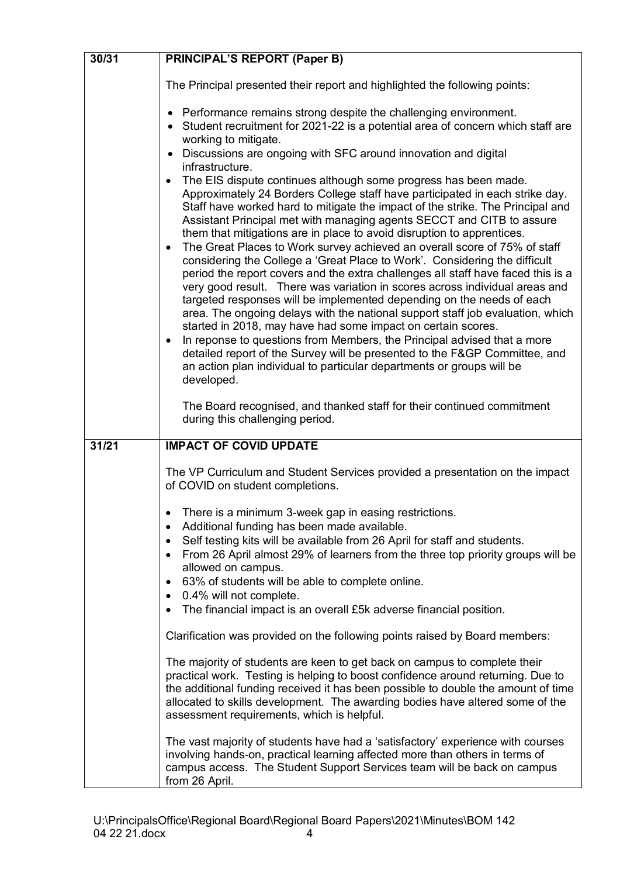| 30/31 | <b>PRINCIPAL'S REPORT (Paper B)</b>                                                                                                                                                                                                                                                                                                                                                                                                                                                                                                                                                                                                                                                                                                                                                                                                                                                                                                                                                                                                                                                                                                                                                                                                                     |  |
|-------|---------------------------------------------------------------------------------------------------------------------------------------------------------------------------------------------------------------------------------------------------------------------------------------------------------------------------------------------------------------------------------------------------------------------------------------------------------------------------------------------------------------------------------------------------------------------------------------------------------------------------------------------------------------------------------------------------------------------------------------------------------------------------------------------------------------------------------------------------------------------------------------------------------------------------------------------------------------------------------------------------------------------------------------------------------------------------------------------------------------------------------------------------------------------------------------------------------------------------------------------------------|--|
|       | The Principal presented their report and highlighted the following points:                                                                                                                                                                                                                                                                                                                                                                                                                                                                                                                                                                                                                                                                                                                                                                                                                                                                                                                                                                                                                                                                                                                                                                              |  |
|       | Performance remains strong despite the challenging environment.<br>Student recruitment for 2021-22 is a potential area of concern which staff are<br>working to mitigate.<br>Discussions are ongoing with SFC around innovation and digital                                                                                                                                                                                                                                                                                                                                                                                                                                                                                                                                                                                                                                                                                                                                                                                                                                                                                                                                                                                                             |  |
|       | infrastructure.<br>The EIS dispute continues although some progress has been made.<br>$\bullet$<br>Approximately 24 Borders College staff have participated in each strike day.<br>Staff have worked hard to mitigate the impact of the strike. The Principal and<br>Assistant Principal met with managing agents SECCT and CITB to assure<br>them that mitigations are in place to avoid disruption to apprentices.<br>The Great Places to Work survey achieved an overall score of 75% of staff<br>$\bullet$<br>considering the College a 'Great Place to Work'. Considering the difficult<br>period the report covers and the extra challenges all staff have faced this is a<br>very good result. There was variation in scores across individual areas and<br>targeted responses will be implemented depending on the needs of each<br>area. The ongoing delays with the national support staff job evaluation, which<br>started in 2018, may have had some impact on certain scores.<br>In reponse to questions from Members, the Principal advised that a more<br>$\bullet$<br>detailed report of the Survey will be presented to the F&GP Committee, and<br>an action plan individual to particular departments or groups will be<br>developed. |  |
|       | The Board recognised, and thanked staff for their continued commitment<br>during this challenging period.                                                                                                                                                                                                                                                                                                                                                                                                                                                                                                                                                                                                                                                                                                                                                                                                                                                                                                                                                                                                                                                                                                                                               |  |
| 31/21 | <b>IMPACT OF COVID UPDATE</b>                                                                                                                                                                                                                                                                                                                                                                                                                                                                                                                                                                                                                                                                                                                                                                                                                                                                                                                                                                                                                                                                                                                                                                                                                           |  |
|       | The VP Curriculum and Student Services provided a presentation on the impact<br>of COVID on student completions.                                                                                                                                                                                                                                                                                                                                                                                                                                                                                                                                                                                                                                                                                                                                                                                                                                                                                                                                                                                                                                                                                                                                        |  |
|       | There is a minimum 3-week gap in easing restrictions.<br>$\bullet$<br>Additional funding has been made available.<br>$\bullet$<br>Self testing kits will be available from 26 April for staff and students.<br>$\bullet$<br>From 26 April almost 29% of learners from the three top priority groups will be<br>$\bullet$<br>allowed on campus.<br>63% of students will be able to complete online.<br>$\bullet$<br>0.4% will not complete.<br>$\bullet$<br>The financial impact is an overall £5k adverse financial position.<br>$\bullet$                                                                                                                                                                                                                                                                                                                                                                                                                                                                                                                                                                                                                                                                                                              |  |
|       | Clarification was provided on the following points raised by Board members:                                                                                                                                                                                                                                                                                                                                                                                                                                                                                                                                                                                                                                                                                                                                                                                                                                                                                                                                                                                                                                                                                                                                                                             |  |
|       | The majority of students are keen to get back on campus to complete their<br>practical work. Testing is helping to boost confidence around returning. Due to<br>the additional funding received it has been possible to double the amount of time<br>allocated to skills development. The awarding bodies have altered some of the<br>assessment requirements, which is helpful.                                                                                                                                                                                                                                                                                                                                                                                                                                                                                                                                                                                                                                                                                                                                                                                                                                                                        |  |
|       | The vast majority of students have had a 'satisfactory' experience with courses<br>involving hands-on, practical learning affected more than others in terms of<br>campus access. The Student Support Services team will be back on campus<br>from 26 April.                                                                                                                                                                                                                                                                                                                                                                                                                                                                                                                                                                                                                                                                                                                                                                                                                                                                                                                                                                                            |  |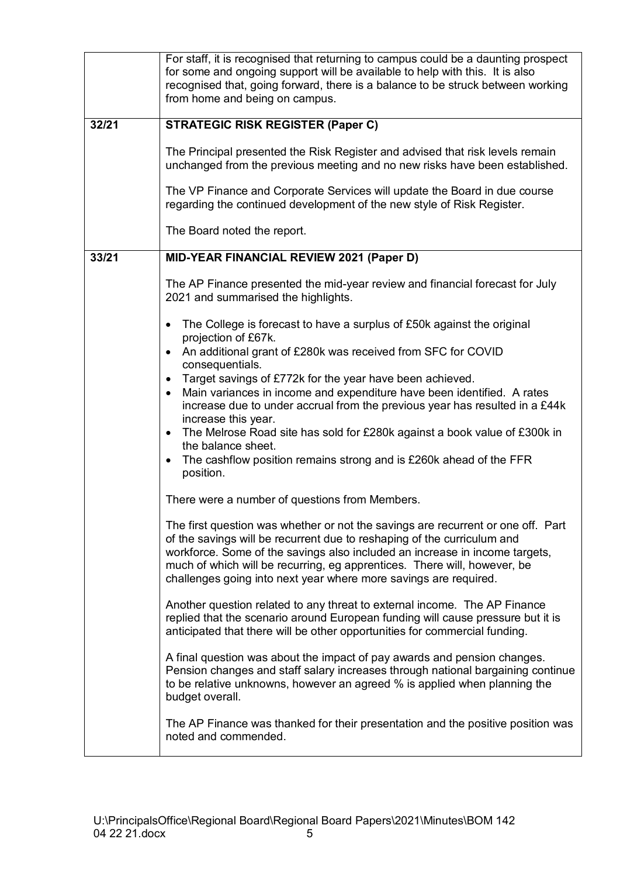|       | For staff, it is recognised that returning to campus could be a daunting prospect<br>for some and ongoing support will be available to help with this. It is also<br>recognised that, going forward, there is a balance to be struck between working<br>from home and being on campus.                                                                                                     |  |
|-------|--------------------------------------------------------------------------------------------------------------------------------------------------------------------------------------------------------------------------------------------------------------------------------------------------------------------------------------------------------------------------------------------|--|
| 32/21 | <b>STRATEGIC RISK REGISTER (Paper C)</b>                                                                                                                                                                                                                                                                                                                                                   |  |
|       | The Principal presented the Risk Register and advised that risk levels remain<br>unchanged from the previous meeting and no new risks have been established.                                                                                                                                                                                                                               |  |
|       | The VP Finance and Corporate Services will update the Board in due course<br>regarding the continued development of the new style of Risk Register.                                                                                                                                                                                                                                        |  |
|       | The Board noted the report.                                                                                                                                                                                                                                                                                                                                                                |  |
| 33/21 | MID-YEAR FINANCIAL REVIEW 2021 (Paper D)                                                                                                                                                                                                                                                                                                                                                   |  |
|       | The AP Finance presented the mid-year review and financial forecast for July<br>2021 and summarised the highlights.                                                                                                                                                                                                                                                                        |  |
|       | The College is forecast to have a surplus of £50k against the original<br>$\bullet$<br>projection of £67k.                                                                                                                                                                                                                                                                                 |  |
|       | An additional grant of £280k was received from SFC for COVID<br>$\bullet$<br>consequentials.                                                                                                                                                                                                                                                                                               |  |
|       | Target savings of £772k for the year have been achieved.<br>$\bullet$<br>Main variances in income and expenditure have been identified. A rates<br>$\bullet$<br>increase due to under accrual from the previous year has resulted in a £44k                                                                                                                                                |  |
|       | increase this year.<br>The Melrose Road site has sold for £280k against a book value of £300k in<br>$\bullet$<br>the balance sheet.                                                                                                                                                                                                                                                        |  |
|       | The cashflow position remains strong and is £260k ahead of the FFR<br>position.                                                                                                                                                                                                                                                                                                            |  |
|       | There were a number of questions from Members.                                                                                                                                                                                                                                                                                                                                             |  |
|       | The first question was whether or not the savings are recurrent or one off. Part<br>of the savings will be recurrent due to reshaping of the curriculum and<br>workforce. Some of the savings also included an increase in income targets,<br>much of which will be recurring, eg apprentices. There will, however, be<br>challenges going into next year where more savings are required. |  |
|       | Another question related to any threat to external income. The AP Finance<br>replied that the scenario around European funding will cause pressure but it is<br>anticipated that there will be other opportunities for commercial funding.                                                                                                                                                 |  |
|       | A final question was about the impact of pay awards and pension changes.<br>Pension changes and staff salary increases through national bargaining continue<br>to be relative unknowns, however an agreed % is applied when planning the<br>budget overall.                                                                                                                                |  |
|       | The AP Finance was thanked for their presentation and the positive position was<br>noted and commended.                                                                                                                                                                                                                                                                                    |  |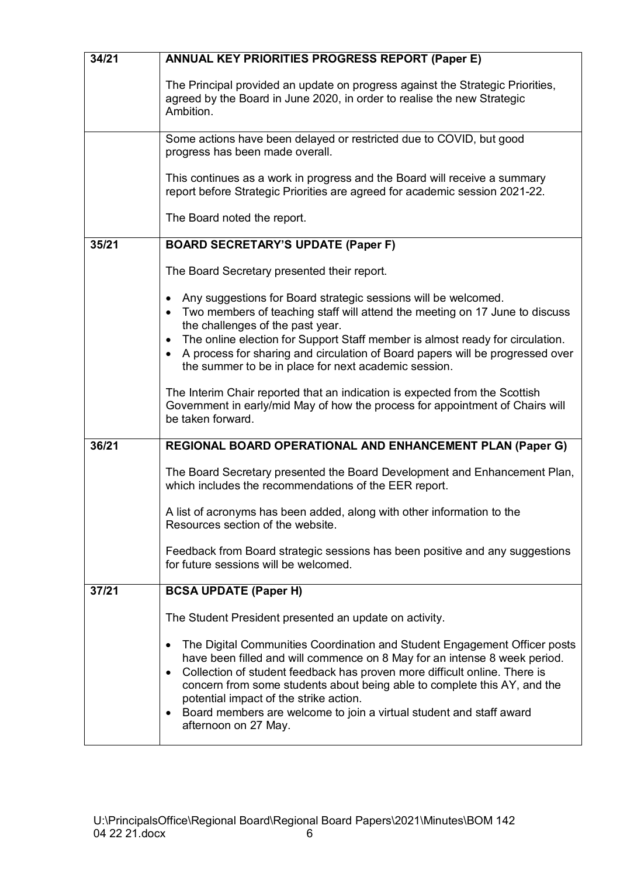| 34/21 | <b>ANNUAL KEY PRIORITIES PROGRESS REPORT (Paper E)</b>                                                                                                                                                                                                                                                                                                                                                                                                                                          |  |
|-------|-------------------------------------------------------------------------------------------------------------------------------------------------------------------------------------------------------------------------------------------------------------------------------------------------------------------------------------------------------------------------------------------------------------------------------------------------------------------------------------------------|--|
|       | The Principal provided an update on progress against the Strategic Priorities,<br>agreed by the Board in June 2020, in order to realise the new Strategic<br>Ambition.                                                                                                                                                                                                                                                                                                                          |  |
|       | Some actions have been delayed or restricted due to COVID, but good<br>progress has been made overall.                                                                                                                                                                                                                                                                                                                                                                                          |  |
|       | This continues as a work in progress and the Board will receive a summary<br>report before Strategic Priorities are agreed for academic session 2021-22.                                                                                                                                                                                                                                                                                                                                        |  |
|       | The Board noted the report.                                                                                                                                                                                                                                                                                                                                                                                                                                                                     |  |
| 35/21 | <b>BOARD SECRETARY'S UPDATE (Paper F)</b>                                                                                                                                                                                                                                                                                                                                                                                                                                                       |  |
|       | The Board Secretary presented their report.                                                                                                                                                                                                                                                                                                                                                                                                                                                     |  |
|       | Any suggestions for Board strategic sessions will be welcomed.<br>Two members of teaching staff will attend the meeting on 17 June to discuss<br>$\bullet$<br>the challenges of the past year.                                                                                                                                                                                                                                                                                                  |  |
|       | The online election for Support Staff member is almost ready for circulation.<br>$\bullet$<br>A process for sharing and circulation of Board papers will be progressed over<br>the summer to be in place for next academic session.                                                                                                                                                                                                                                                             |  |
|       | The Interim Chair reported that an indication is expected from the Scottish<br>Government in early/mid May of how the process for appointment of Chairs will<br>be taken forward.                                                                                                                                                                                                                                                                                                               |  |
| 36/21 | REGIONAL BOARD OPERATIONAL AND ENHANCEMENT PLAN (Paper G)                                                                                                                                                                                                                                                                                                                                                                                                                                       |  |
|       | The Board Secretary presented the Board Development and Enhancement Plan,<br>which includes the recommendations of the EER report.                                                                                                                                                                                                                                                                                                                                                              |  |
|       | A list of acronyms has been added, along with other information to the<br>Resources section of the website.                                                                                                                                                                                                                                                                                                                                                                                     |  |
|       | Feedback from Board strategic sessions has been positive and any suggestions<br>for future sessions will be welcomed.                                                                                                                                                                                                                                                                                                                                                                           |  |
| 37/21 | <b>BCSA UPDATE (Paper H)</b>                                                                                                                                                                                                                                                                                                                                                                                                                                                                    |  |
|       | The Student President presented an update on activity.                                                                                                                                                                                                                                                                                                                                                                                                                                          |  |
|       | The Digital Communities Coordination and Student Engagement Officer posts<br>$\bullet$<br>have been filled and will commence on 8 May for an intense 8 week period.<br>Collection of student feedback has proven more difficult online. There is<br>$\bullet$<br>concern from some students about being able to complete this AY, and the<br>potential impact of the strike action.<br>Board members are welcome to join a virtual student and staff award<br>$\bullet$<br>afternoon on 27 May. |  |